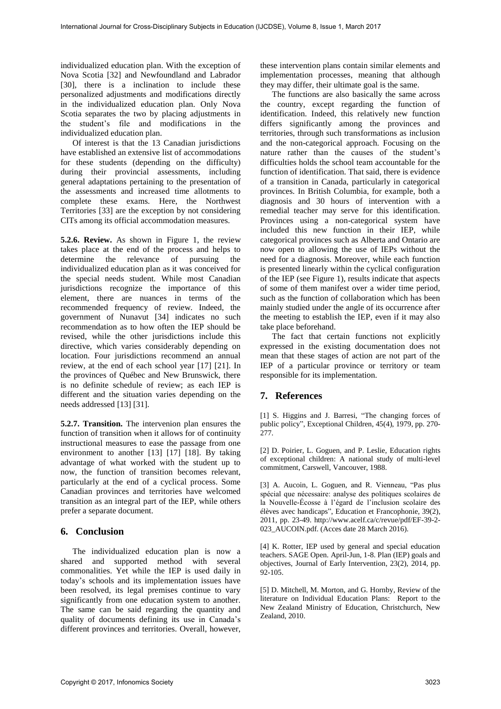individualized education plan. With the exception of Nova Scotia [32] and Newfoundland and Labrador [30], there is a inclination to include these personalized adjustments and modifications directly in the individualized education plan. Only Nova Scotia separates the two by placing adjustments in the student's file and modifications in the individualized education plan.

Of interest is that the 13 Canadian jurisdictions have established an extensive list of accommodations for these students (depending on the difficulty) during their provincial assessments, including general adaptations pertaining to the presentation of the assessments and increased time allotments to complete these exams. Here, the Northwest Territories [33] are the exception by not considering CITs among its official accommodation measures.

**5.2.6. Review.** As shown in Figure 1, the review takes place at the end of the process and helps to determine the relevance of pursuing the individualized education plan as it was conceived for the special needs student. While most Canadian jurisdictions recognize the importance of this element, there are nuances in terms of the recommended frequency of review. Indeed, the government of Nunavut [34] indicates no such recommendation as to how often the IEP should be revised, while the other jurisdictions include this directive, which varies considerably depending on location. Four jurisdictions recommend an annual review, at the end of each school year [17] [21]. In the provinces of Québec and New Brunswick, there is no definite schedule of review; as each IEP is different and the situation varies depending on the needs addressed [13] [31].

**5.2.7. Transition.** The intervenion plan ensures the function of transition when it allows for of continuity instructional measures to ease the passage from one environment to another [13] [17] [18]. By taking advantage of what worked with the student up to now, the function of transition becomes relevant, particularly at the end of a cyclical process. Some Canadian provinces and territories have welcomed transition as an integral part of the IEP, while others prefer a separate document.

## **6. Conclusion**

The individualized education plan is now a shared and supported method with several commonalities. Yet while the IEP is used daily in today's schools and its implementation issues have been resolved, its legal premises continue to vary significantly from one education system to another. The same can be said regarding the quantity and quality of documents defining its use in Canada's different provinces and territories. Overall, however,

these intervention plans contain similar elements and implementation processes, meaning that although they may differ, their ultimate goal is the same.

The functions are also basically the same across the country, except regarding the function of identification. Indeed, this relatively new function differs significantly among the provinces and territories, through such transformations as inclusion and the non-categorical approach. Focusing on the nature rather than the causes of the student's difficulties holds the school team accountable for the function of identification. That said, there is evidence of a transition in Canada, particularly in categorical provinces. In British Columbia, for example, both a diagnosis and 30 hours of intervention with a remedial teacher may serve for this identification. Provinces using a non-categorical system have included this new function in their IEP, while categorical provinces such as Alberta and Ontario are now open to allowing the use of IEPs without the need for a diagnosis. Moreover, while each function is presented linearly within the cyclical configuration of the IEP (see Figure 1), results indicate that aspects of some of them manifest over a wider time period, such as the function of collaboration which has been mainly studied under the angle of its occurrence after the meeting to establish the IEP, even if it may also take place beforehand.

The fact that certain functions not explicitly expressed in the existing documentation does not mean that these stages of action are not part of the IEP of a particular province or territory or team responsible for its implementation.

## **7. References**

[1] S. Higgins and J. Barresi, "The changing forces of public policy", Exceptional Children, 45(4), 1979, pp. 270- 277.

[2] D. Poirier, L. Goguen, and P. Leslie, Education rights of exceptional children: A national study of multi-level commitment, Carswell, Vancouver, 1988.

[3] A. Aucoin, L. Goguen, and R. Vienneau, "Pas plus spécial que nécessaire: analyse des politiques scolaires de la Nouvelle-Écosse à l'égard de l'inclusion scolaire des élèves avec handicaps", Education et Francophonie, 39(2), 2011, pp. 23-49. http://www.acelf.ca/c/revue/pdf/EF-39-2- 023\_AUCOIN.pdf. (Acces date 28 March 2016).

[4] K. Rotter, IEP used by general and special education teachers. SAGE Open. April-Jun, 1-8. Plan (IEP) goals and objectives, Journal of Early Intervention, 23(2), 2014, pp. 92-105.

[5] D. Mitchell, M. Morton, and G. Hornby, Review of the literature on Individual Education Plans: Report to the New Zealand Ministry of Education, Christchurch, New Zealand, 2010.